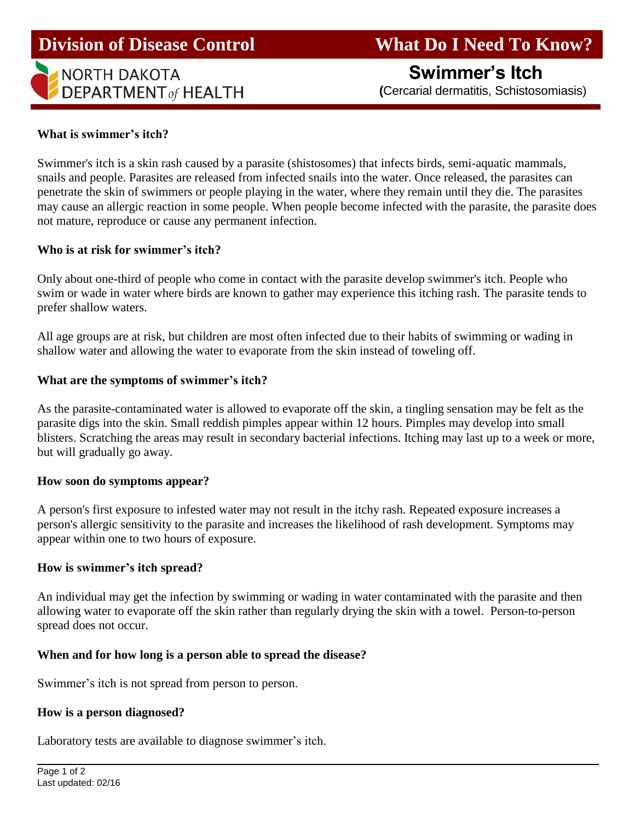## **Division of Disease Control What Do I Need To Know?**

# **NORTH DAKOTA DEPARTMENT** of HEALTH

**Swimmer's Itch**

 **(**Cercarial dermatitis, Schistosomiasis)

### **What is swimmer's itch?**

Swimmer's itch is a skin rash caused by a parasite (shistosomes) that infects birds, semi-aquatic mammals, snails and people. Parasites are released from infected snails into the water. Once released, the parasites can penetrate the skin of swimmers or people playing in the water, where they remain until they die. The parasites may cause an allergic reaction in some people. When people become infected with the parasite, the parasite does not mature, reproduce or cause any permanent infection.

#### **Who is at risk for swimmer's itch?**

Only about one-third of people who come in contact with the parasite develop swimmer's itch. People who swim or wade in water where birds are known to gather may experience this itching rash. The parasite tends to prefer shallow waters.

All age groups are at risk, but children are most often infected due to their habits of swimming or wading in shallow water and allowing the water to evaporate from the skin instead of toweling off.

#### **What are the symptoms of swimmer's itch?**

As the parasite-contaminated water is allowed to evaporate off the skin, a tingling sensation may be felt as the parasite digs into the skin. Small reddish pimples appear within 12 hours. Pimples may develop into small blisters. Scratching the areas may result in secondary bacterial infections. Itching may last up to a week or more, but will gradually go away.

#### **How soon do symptoms appear?**

A person's first exposure to infested water may not result in the itchy rash. Repeated exposure increases a person's allergic sensitivity to the parasite and increases the likelihood of rash development. Symptoms may appear within one to two hours of exposure.

#### **How is swimmer's itch spread?**

An individual may get the infection by swimming or wading in water contaminated with the parasite and then allowing water to evaporate off the skin rather than regularly drying the skin with a towel. Person-to-person spread does not occur.

#### **When and for how long is a person able to spread the disease?**

Swimmer's itch is not spread from person to person.

#### **How is a person diagnosed?**

Laboratory tests are available to diagnose swimmer's itch.